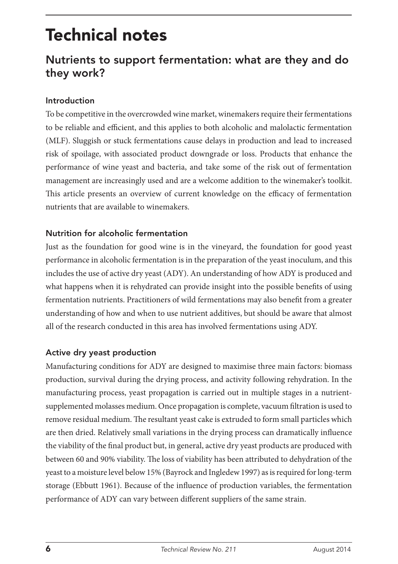# Technical notes

## Nutrients to support fermentation: what are they and do they work?

#### Introduction

To be competitive in the overcrowded wine market, winemakers require their fermentations to be reliable and efficient, and this applies to both alcoholic and malolactic fermentation (MLF). Sluggish or stuck fermentations cause delays in production and lead to increased risk of spoilage, with associated product downgrade or loss. Products that enhance the performance of wine yeast and bacteria, and take some of the risk out of fermentation management are increasingly used and are a welcome addition to the winemaker's toolkit. This article presents an overview of current knowledge on the efficacy of fermentation nutrients that are available to winemakers.

#### Nutrition for alcoholic fermentation

Just as the foundation for good wine is in the vineyard, the foundation for good yeast performance in alcoholic fermentation is in the preparation of the yeast inoculum, and this includes the use of active dry yeast (ADY). An understanding of how ADY is produced and what happens when it is rehydrated can provide insight into the possible benefits of using fermentation nutrients. Practitioners of wild fermentations may also benefit from a greater understanding of how and when to use nutrient additives, but should be aware that almost all of the research conducted in this area has involved fermentations using ADY.

#### Active dry yeast production

Manufacturing conditions for ADY are designed to maximise three main factors: biomass production, survival during the drying process, and activity following rehydration. In the manufacturing process, yeast propagation is carried out in multiple stages in a nutrientsupplemented molasses medium. Once propagation is complete, vacuum filtration is used to remove residual medium. The resultant yeast cake is extruded to form small particles which are then dried. Relatively small variations in the drying process can dramatically influence the viability of the final product but, in general, active dry yeast products are produced with between 60 and 90% viability. The loss of viability has been attributed to dehydration of the yeast to a moisture level below 15% (Bayrock and Ingledew 1997) as is required for long-term storage (Ebbutt 1961). Because of the influence of production variables, the fermentation performance of ADY can vary between different suppliers of the same strain.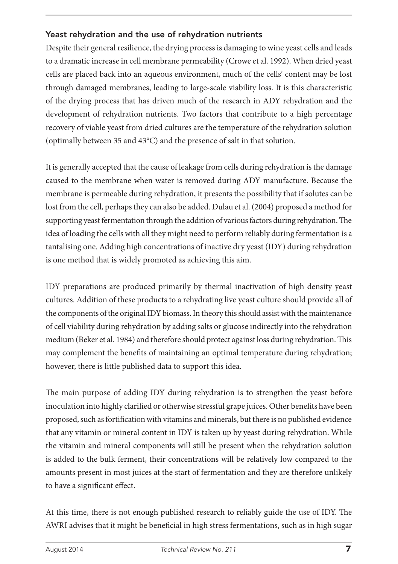#### Yeast rehydration and the use of rehydration nutrients

Despite their general resilience, the drying process is damaging to wine yeast cells and leads to a dramatic increase in cell membrane permeability (Crowe et al. 1992). When dried yeast cells are placed back into an aqueous environment, much of the cells' content may be lost through damaged membranes, leading to large-scale viability loss. It is this characteristic of the drying process that has driven much of the research in ADY rehydration and the development of rehydration nutrients. Two factors that contribute to a high percentage recovery of viable yeast from dried cultures are the temperature of the rehydration solution (optimally between 35 and 43°C) and the presence of salt in that solution.

It is generally accepted that the cause of leakage from cells during rehydration is the damage caused to the membrane when water is removed during ADY manufacture. Because the membrane is permeable during rehydration, it presents the possibility that if solutes can be lost from the cell, perhaps they can also be added. Dulau et al. (2004) proposed a method for supporting yeast fermentation through the addition of various factors during rehydration. The idea of loading the cells with all they might need to perform reliably during fermentation is a tantalising one. Adding high concentrations of inactive dry yeast (IDY) during rehydration is one method that is widely promoted as achieving this aim.

IDY preparations are produced primarily by thermal inactivation of high density yeast cultures. Addition of these products to a rehydrating live yeast culture should provide all of the components of the original IDY biomass. In theory this should assist with the maintenance of cell viability during rehydration by adding salts or glucose indirectly into the rehydration medium (Beker et al. 1984) and therefore should protect against loss during rehydration. This may complement the benefits of maintaining an optimal temperature during rehydration; however, there is little published data to support this idea.

The main purpose of adding IDY during rehydration is to strengthen the yeast before inoculation into highly clarified or otherwise stressful grape juices. Other benefits have been proposed, such as fortification with vitamins and minerals, but there is no published evidence that any vitamin or mineral content in IDY is taken up by yeast during rehydration. While the vitamin and mineral components will still be present when the rehydration solution is added to the bulk ferment, their concentrations will be relatively low compared to the amounts present in most juices at the start of fermentation and they are therefore unlikely to have a significant effect.

At this time, there is not enough published research to reliably guide the use of IDY. The AWRI advises that it might be beneficial in high stress fermentations, such as in high sugar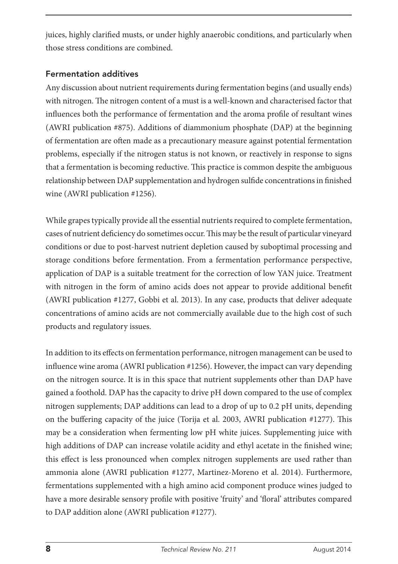juices, highly clarified musts, or under highly anaerobic conditions, and particularly when those stress conditions are combined.

#### Fermentation additives

Any discussion about nutrient requirements during fermentation begins (and usually ends) with nitrogen. The nitrogen content of a must is a well-known and characterised factor that influences both the performance of fermentation and the aroma profile of resultant wines (AWRI publication #875). Additions of diammonium phosphate (DAP) at the beginning of fermentation are often made as a precautionary measure against potential fermentation problems, especially if the nitrogen status is not known, or reactively in response to signs that a fermentation is becoming reductive. This practice is common despite the ambiguous relationship between DAP supplementation and hydrogen sulfide concentrations in finished wine (AWRI publication #1256).

While grapes typically provide all the essential nutrients required to complete fermentation, cases of nutrient deficiency do sometimes occur. This may be the result of particular vineyard conditions or due to post-harvest nutrient depletion caused by suboptimal processing and storage conditions before fermentation. From a fermentation performance perspective, application of DAP is a suitable treatment for the correction of low YAN juice. Treatment with nitrogen in the form of amino acids does not appear to provide additional benefit (AWRI publication #1277, Gobbi et al. 2013). In any case, products that deliver adequate concentrations of amino acids are not commercially available due to the high cost of such products and regulatory issues.

In addition to its effects on fermentation performance, nitrogen management can be used to influence wine aroma (AWRI publication #1256). However, the impact can vary depending on the nitrogen source. It is in this space that nutrient supplements other than DAP have gained a foothold. DAP has the capacity to drive pH down compared to the use of complex nitrogen supplements; DAP additions can lead to a drop of up to 0.2 pH units, depending on the buffering capacity of the juice (Torija et al. 2003, AWRI publication #1277). This may be a consideration when fermenting low pH white juices. Supplementing juice with high additions of DAP can increase volatile acidity and ethyl acetate in the finished wine; this effect is less pronounced when complex nitrogen supplements are used rather than ammonia alone (AWRI publication #1277, Martinez-Moreno et al. 2014). Furthermore, fermentations supplemented with a high amino acid component produce wines judged to have a more desirable sensory profile with positive 'fruity' and 'floral' attributes compared to DAP addition alone (AWRI publication #1277).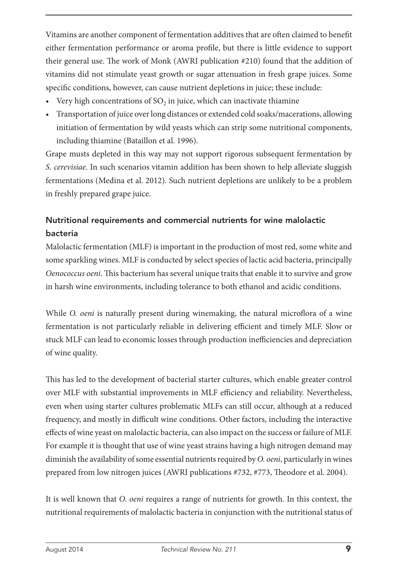Vitamins are another component of fermentation additives that are often claimed to benefit either fermentation performance or aroma profile, but there is little evidence to support their general use. The work of Monk (AWRI publication #210) found that the addition of vitamins did not stimulate yeast growth or sugar attenuation in fresh grape juices. Some specific conditions, however, can cause nutrient depletions in juice; these include:

- Very high concentrations of  $SO<sub>2</sub>$  in juice, which can inactivate thiamine
- Transportation of juice over long distances or extended cold soaks/macerations, allowing initiation of fermentation by wild yeasts which can strip some nutritional components, including thiamine (Bataillon et al. 1996).

Grape musts depleted in this way may not support rigorous subsequent fermentation by *S. cerevisiae*. In such scenarios vitamin addition has been shown to help alleviate sluggish fermentations (Medina et al. 2012). Such nutrient depletions are unlikely to be a problem in freshly prepared grape juice.

### Nutritional requirements and commercial nutrients for wine malolactic bacteria

Malolactic fermentation (MLF) is important in the production of most red, some white and some sparkling wines. MLF is conducted by select species of lactic acid bacteria, principally *Oenococcus oeni*. This bacterium has several unique traits that enable it to survive and grow in harsh wine environments, including tolerance to both ethanol and acidic conditions.

While *O. oeni* is naturally present during winemaking, the natural microflora of a wine fermentation is not particularly reliable in delivering efficient and timely MLF. Slow or stuck MLF can lead to economic losses through production inefficiencies and depreciation of wine quality.

This has led to the development of bacterial starter cultures, which enable greater control over MLF with substantial improvements in MLF efficiency and reliability. Nevertheless, even when using starter cultures problematic MLFs can still occur, although at a reduced frequency, and mostly in difficult wine conditions. Other factors, including the interactive effects of wine yeast on malolactic bacteria, can also impact on the success or failure of MLF. For example it is thought that use of wine yeast strains having a high nitrogen demand may diminish the availability of some essential nutrients required by *O. oeni*, particularly in wines prepared from low nitrogen juices (AWRI publications #732, #773, Theodore et al. 2004).

It is well known that *O. oeni* requires a range of nutrients for growth. In this context, the nutritional requirements of malolactic bacteria in conjunction with the nutritional status of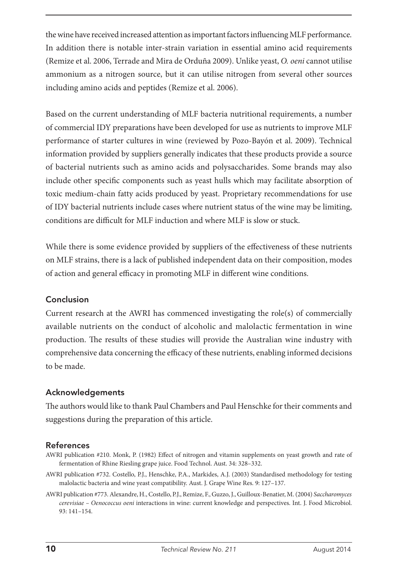the wine have received increased attention as important factors influencing MLF performance. In addition there is notable inter-strain variation in essential amino acid requirements (Remize et al. 2006, Terrade and Mira de Orduña 2009). Unlike yeast, *O. oeni* cannot utilise ammonium as a nitrogen source, but it can utilise nitrogen from several other sources including amino acids and peptides (Remize et al. 2006).

Based on the current understanding of MLF bacteria nutritional requirements, a number of commercial IDY preparations have been developed for use as nutrients to improve MLF performance of starter cultures in wine (reviewed by Pozo-Bayón et al. 2009). Technical information provided by suppliers generally indicates that these products provide a source of bacterial nutrients such as amino acids and polysaccharides. Some brands may also include other specific components such as yeast hulls which may facilitate absorption of toxic medium-chain fatty acids produced by yeast. Proprietary recommendations for use of IDY bacterial nutrients include cases where nutrient status of the wine may be limiting, conditions are difficult for MLF induction and where MLF is slow or stuck.

While there is some evidence provided by suppliers of the effectiveness of these nutrients on MLF strains, there is a lack of published independent data on their composition, modes of action and general efficacy in promoting MLF in different wine conditions.

#### Conclusion

Current research at the AWRI has commenced investigating the role(s) of commercially available nutrients on the conduct of alcoholic and malolactic fermentation in wine production. The results of these studies will provide the Australian wine industry with comprehensive data concerning the efficacy of these nutrients, enabling informed decisions to be made.

#### Acknowledgements

The authors would like to thank Paul Chambers and Paul Henschke for their comments and suggestions during the preparation of this article.

#### **References**

- AWRI publication #210. Monk, P. (1982) Effect of nitrogen and vitamin supplements on yeast growth and rate of fermentation of Rhine Riesling grape juice. Food Technol. Aust. 34: 328–332.
- AWRI publication #732. Costello, P.J., Henschke, P.A., Markides, A.J. (2003) Standardised methodology for testing malolactic bacteria and wine yeast compatibility. Aust. J. Grape Wine Res. 9: 127–137.
- AWRI publication #773. Alexandre, H., Costello, P.J., Remize, F., Guzzo, J., Guilloux-Benatier, M. (2004) *Saccharomyces cerevisiae – Oenococcus oeni* interactions in wine: current knowledge and perspectives. Int. J. Food Microbiol. 93: 141–154.